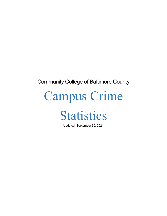## Community College of Baltimore County

# Campus Crime

## **Statistics**

Updated: September 30, 2021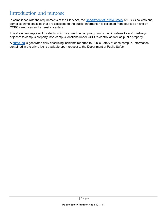## Introduction and purpose

In compliance with the requirements of the Clery Act, the [Department of Public Safety](https://www.ccbcmd.edu/Campus-Life-and-Activities/Public-Safety.aspx) at CCBC collects and compiles crime statistics that are disclosed to the public. Information is collected from sources on and off CCBC campuses and extension centers.

This document represent incidents which occurred on campus grounds, public sidewalks and roadways adjacent to campus property, non-campus locations under CCBC's control as well as public property.

A [crime log](https://www.ccbcmd.edu/Campus-Life-and-Activities/Public-Safety/Crime-Awareness-and-Safety-Tips/Daily-Incident-Log.aspx) is generated daily describing incidents reported to Public Safety at each campus. Information contained in the crime log is available upon request to the Department of Public Safety.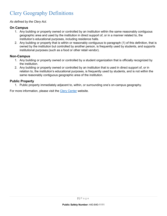## Clery Geography Definitions

#### *As defined by the Clery Act.*

#### **On Campus**

- 1. Any building or property owned or controlled by an institution within the same reasonably contiguous geographic area and used by the institution in direct support of, or in a manner related to, the institution's educational purposes, including residence halls.
- 2. Any building or property that is within or reasonably contiguous to paragraph (1) of this definition, that is owned by the institution but controlled by another person, is frequently used by students, and supports institutional purposes (such as a food or other retail vendor).

#### **Non-Campus**

- 1. Any building or property owned or controlled by a student organization that is officially recognized by the institution.
- 2. Any building or property owned or controlled by an institution that is used in direct support of, or in relation to, the institution's educational purposes, is frequently used by students, and is not within the same reasonably contiguous geographic area of the institution.

#### **Public Property**

1. Public property immediately adjacent to, within, or surrounding one's on-campus geography.

For more information, please visit the [Clery Center](https://clerycenter.org/) website.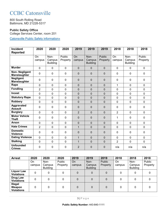## CCBC Catonsville

800 South Rolling Road Baltimore, MD 21228-5317

#### **Public Safety Office**

College Services Center, room 201

[Catonsville Public Safety information»](https://www.ccbcmd.edu/Campus-Life-and-Activities/Public-Safety/About-Public-Safety/Catonsville-Public-Safety-Information.aspx)

| <b>Incident</b><br><b>Reported</b>          | 2020                | 2020                              | 2020               | 2019           | 2019                              | 2019               | 2018           | 2018                              | 2018               |
|---------------------------------------------|---------------------|-----------------------------------|--------------------|----------------|-----------------------------------|--------------------|----------------|-----------------------------------|--------------------|
|                                             | <b>On</b><br>campus | Non-<br>Campus<br><b>Building</b> | Public<br>Property | On<br>campus   | Non-<br>Campus<br><b>Building</b> | Public<br>Property | On<br>campus   | Non-<br>Campus<br><b>Building</b> | Public<br>Property |
| <b>Murder</b>                               | $\mathbf 0$         | $\mathbf 0$                       | $\mathbf 0$        | $\mathbf 0$    | $\mathbf 0$                       | $\overline{0}$     | $\overline{0}$ | $\mathbf 0$                       | $\mathbf 0$        |
| <b>Non-Negligent</b><br><b>Manslaughter</b> | $\mathbf 0$         | $\mathbf 0$                       | $\mathbf 0$        | $\pmb{0}$      | $\mathbf 0$                       | 0                  | $\mathbf 0$    | $\mathbf 0$                       | $\mathbf 0$        |
| <b>Negligent</b><br><b>Manslaughter</b>     | $\mathbf 0$         | 0                                 | $\mathbf 0$        | 0              | $\mathbf 0$                       | 0                  | $\mathbf 0$    | $\mathbf 0$                       | $\mathbf 0$        |
| Rape                                        | $\mathbf 0$         | $\mathbf 0$                       | $\mathbf 0$        | 0              | $\overline{0}$                    | $\overline{0}$     | 1              | $\mathbf 0$                       | $\mathbf 0$        |
| <b>Fondling</b>                             | $\overline{2}$      | 0                                 | $\mathbf 0$        | 0              | $\overline{0}$                    | $\overline{0}$     | $\overline{0}$ | $\mathbf 0$                       | $\mathbf 0$        |
| <b>Incest</b>                               | $\mathbf 0$         | $\mathbf 0$                       | $\mathbf 0$        | 0              | $\mathbf 0$                       | $\mathbf 0$        | $\mathbf 0$    | $\mathbf 0$                       | $\mathbf 0$        |
| <b>Statutory Rape</b>                       | $\mathbf 0$         | 0                                 | $\mathbf 0$        | 0              | $\overline{0}$                    | $\overline{0}$     | $\overline{0}$ | $\mathbf 0$                       | $\mathbf 0$        |
| <b>Robbery</b>                              | $\mathbf 0$         | $\mathbf 0$                       | $\mathbf 0$        | $\overline{0}$ | $\mathbf 0$                       | $\mathbf 0$        | $\mathbf 0$    | $\overline{0}$                    | $\mathbf 0$        |
| Aggravated<br><b>Assault</b>                | $\mathbf 0$         | 0                                 | $\mathbf 0$        | 0              | $\mathbf 0$                       | 0                  | 0              | $\mathbf 0$                       | $\mathbf 0$        |
| <b>Burglary</b>                             | $\mathbf 0$         | $\mathbf 0$                       | $\mathbf 0$        | $\overline{2}$ | $\overline{0}$                    | $\overline{0}$     | $\overline{2}$ | $\mathbf 0$                       | $\mathbf 0$        |
| <b>Motor Vehicle</b><br><b>Theft</b>        | $\Omega$            | 0                                 | $\Omega$           | 0              | $\mathbf{0}$                      | $\mathbf{0}$       | 1              | $\Omega$                          | $\Omega$           |
| <b>Arson</b>                                | $\mathbf 0$         | $\mathbf 0$                       | $\mathbf 0$        | 0              | $\overline{0}$                    | $\mathbf{0}$       | $\overline{0}$ | $\mathbf 0$                       | $\mathbf 0$        |
| <b>Hate Crimes</b>                          | $\overline{2}$      | $\mathbf 0$                       | $\mathbf 0$        | $\mathbf{1}$   | $\overline{0}$                    | $\mathbf{0}$       | $\overline{0}$ | $\mathbf 0$                       | $\mathbf 0$        |
| <b>Domestic</b><br><b>Violence</b>          | $\mathbf 0$         | 0                                 | $\mathbf 0$        | 0              | $\mathbf 0$                       | 0                  | 0              | $\mathbf 0$                       | $\mathbf 0$        |
| <b>Dating Violence</b>                      | $\mathbf 0$         | 0                                 | $\mathbf 0$        | $\mathbf{1}$   | $\overline{0}$                    | $\mathbf{0}$       | $\mathbf 0$    | $\mathbf 0$                       | $\mathbf 0$        |
| <b>Stalking</b>                             | $\mathbf 0$         | 0                                 | $\mathbf 0$        | $\mathbf{1}$   | $\overline{0}$                    | $\mathbf{0}$       | $\overline{2}$ | $\mathbf 0$                       | $\mathbf 0$        |
| <b>Unfounded</b><br><b>Crimes</b>           | 0                   | $\mathbf 0$                       | $\mathbf 0$        | $\overline{2}$ | 0                                 | $\mathbf 0$        | n/a            | n/a                               | n/a                |

| <b>Arrest</b>                                 | 2020   | 2020                      | 2020     | 2019      | 2019                      | 2019     | 2018        | 2018                      | 2018     |
|-----------------------------------------------|--------|---------------------------|----------|-----------|---------------------------|----------|-------------|---------------------------|----------|
|                                               | On     | Non-                      | Public   | <b>On</b> | Non-                      | Public   | On          | Non-                      | Public   |
|                                               | campus | Campus<br><b>Building</b> | Property | campus    | Campus<br><b>Building</b> | Property | campus      | Campus<br><b>Building</b> | Property |
| <b>Liquor Law</b>                             |        |                           |          |           |                           |          |             |                           |          |
| <b>Violations</b>                             | 0      | 0                         | 0        | 0         | 0                         | $\Omega$ | 0           | 0                         |          |
| Drug Law<br><b>Violations</b>                 | 0      | 0                         | 0        | 0         | 0                         | $\Omega$ | 0           | 0                         | 0        |
| <b>Illegal</b><br>Weapon<br><b>Violations</b> | 0      | 0                         | 0        | 0         | $\overline{0}$            | $\Omega$ | $\mathbf 0$ | 0                         | 0        |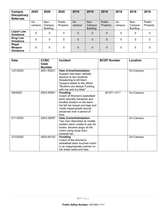| Campus<br><b>Disciplinary</b><br><b>Referrals</b> | 2020         | 2020                              | 2020               | 2019         | 2019                              | 2019               | 2018         | 2018                              | 2018               |
|---------------------------------------------------|--------------|-----------------------------------|--------------------|--------------|-----------------------------------|--------------------|--------------|-----------------------------------|--------------------|
|                                                   | On<br>campus | Non-<br>Campus<br><b>Building</b> | Public<br>Property | On<br>campus | Non-<br>Campus<br><b>Building</b> | Public<br>Property | On<br>campus | Non-<br>Campus<br><b>Building</b> | Public<br>Property |
| <b>Liquor Law</b><br><b>Violations</b>            | 0            | 0                                 | $\mathbf{0}$       | $\mathbf 0$  | $\mathbf 0$                       | $\Omega$           | 0            | 0                                 | 0                  |
| Drug Law<br><b>Violations</b>                     | $\mathbf 0$  | 0                                 | 0                  | $\mathbf 0$  | $\mathbf 0$                       | $\overline{0}$     | 0            | 0                                 | 0                  |
| Illegal<br>Weapon<br><b>Violations</b>            | 0            | 0                                 | 0                  | $\Omega$     | $\Omega$                          | $\overline{0}$     | 0            | 0                                 | 0                  |

| <b>Date</b> | <b>CCBC</b>           | <b>Incident</b>                                                                                                                                                                                                    | <b>BCDP Number</b> | Location  |
|-------------|-----------------------|--------------------------------------------------------------------------------------------------------------------------------------------------------------------------------------------------------------------|--------------------|-----------|
|             | Case<br><b>Number</b> |                                                                                                                                                                                                                    |                    |           |
| 1/27/2020   | 2001-00021            | <b>Hate Crime/Intimidation</b><br>Suspect had been verbally<br>abusive to two students<br>threatening to kill them.<br>Suspect stated to the officer<br>"Muslims are always Fucking<br>with me and my bible"       |                    | On-Campus |
| 3/6/2020    | 2003-00091            | <b>Fondling</b><br>Coach of Women's basketball<br>team sexually harassed and<br>fondled student on the team.<br>He felt her breast and legs and<br>made inappropriate sexual<br>advances over a period of<br>time. | 20-071-1211        | On-Campus |
| 3/11/2020   | 2003-00097            | <b>Hate Crime/Intimidation</b><br>Two men described as middle<br>eastern were unable to pay for<br>books, became angry at the<br>victim using racial slurs<br>towards her.                                         |                    | On-Campus |
| 3/12/2020   | 2003-00102            | <b>Fondling</b><br>Coach of the Women's<br>basketball team touched victim<br>in an inappropriate manner on<br>her lower waist and hips                                                                             |                    | On-Campus |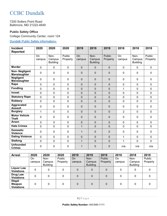## **CCBC** Dundalk

7200 Sollers Point Road Baltimore, MD 21222-4649

#### **Public Safety Office**

College Community Center, room 124

#### **[Dundalk Public Safety information»](https://www.ccbcmd.edu/Campus-Life-and-Activities/Public-Safety/About-Public-Safety/Dundalk-Public-Safety-Information.aspx)**

| <b>Incident</b><br><b>Reported</b>          | 2020           | 2020                              | 2020               | 2019           | 2019                              | 2019                      | 2018           | 2018                              | 2018                      |
|---------------------------------------------|----------------|-----------------------------------|--------------------|----------------|-----------------------------------|---------------------------|----------------|-----------------------------------|---------------------------|
|                                             | On<br>campus   | Non-<br>Campus<br><b>Building</b> | Public<br>Property | On<br>campus   | Non-<br>Campus<br><b>Building</b> | <b>Public</b><br>Property | On<br>campus   | Non-<br>Campus<br><b>Building</b> | <b>Public</b><br>Property |
| <b>Murder</b>                               | $\mathbf{0}$   | $\mathbf 0$                       | $\mathbf 0$        | $\mathbf{0}$   | $\mathbf 0$                       | $\mathbf{0}$              | $\mathbf 0$    | 0                                 | $\mathbf 0$               |
| <b>Non-Negligent</b><br><b>Manslaughter</b> | $\mathbf 0$    | 0                                 | $\mathbf 0$        | $\mathbf 0$    | $\mathbf{0}$                      | 0                         | $\mathbf 0$    | $\mathbf 0$                       | $\mathbf 0$               |
| <b>Negligent</b><br><b>Manslaughter</b>     | $\mathbf 0$    | 0                                 | $\mathbf 0$        | 0              | $\mathbf 0$                       | 0                         | $\mathbf 0$    | $\mathbf 0$                       | 0                         |
| Rape                                        | $\mathbf 0$    | 0                                 | $\mathbf 0$        | $\overline{0}$ | $\overline{0}$                    | 0                         | $\mathbf 0$    | $\mathbf 0$                       | 0                         |
| <b>Fondling</b>                             | $\mathbf 0$    | 0                                 | $\mathbf 0$        | 0              | $\overline{0}$                    | 0                         | $\mathbf{1}$   | $\mathbf 0$                       | 0                         |
| <b>Incest</b>                               | $\mathbf 0$    | 0                                 | $\mathbf 0$        | 0              | $\overline{0}$                    | 0                         | $\mathbf 0$    | $\mathbf 0$                       | $\mathbf 0$               |
| <b>Statutory Rape</b>                       | $\overline{0}$ | 0                                 | $\mathbf 0$        | 0              | 0                                 | 0                         | $\mathbf 0$    | $\mathbf 0$                       | 0                         |
| <b>Robbery</b>                              | $\overline{0}$ | 0                                 | $\mathbf 0$        | $\overline{0}$ | $\overline{0}$                    | 0                         | $\mathbf 0$    | $\mathbf 0$                       | 0                         |
| Aggravated<br><b>Assault</b>                | 0              | 0                                 | $\mathbf 0$        | $\mathbf 0$    | $\mathbf 0$                       | 0                         | $\mathbf 0$    | $\mathbf 0$                       | $\mathbf 0$               |
| <b>Burglary</b>                             | $\mathbf{1}$   | 0                                 | $\mathbf 0$        | 0              | $\overline{0}$                    | 0                         | $\overline{2}$ | $\mathbf 0$                       | 0                         |
| <b>Motor Vehicle</b><br><b>Theft</b>        | 0              | 0                                 | $\mathbf 0$        | 0              | $\overline{0}$                    | 0                         | $\mathbf 0$    | $\mathbf 0$                       | $\mathbf 0$               |
| <b>Arson</b>                                | $\mathbf 0$    | 0                                 | $\mathbf 0$        | 0              | $\overline{0}$                    | 0                         | $\mathbf 0$    | $\mathbf 0$                       | $\mathbf 0$               |
| <b>Hate Crimes</b>                          | $\mathbf 0$    | 0                                 | $\mathbf 0$        | $\mathbf{1}$   | $\overline{0}$                    | 0                         | $\mathbf 0$    | $\mathbf 0$                       | 0                         |
| <b>Domestic</b><br><b>Violence</b>          | $\mathbf 0$    | 0                                 | $\mathbf 0$        | $\mathbf{1}$   | $\mathbf 0$                       | 0                         | $\mathbf 0$    | $\mathbf 0$                       | $\mathbf 0$               |
| <b>Dating Violence</b>                      | $\overline{0}$ | 0                                 | $\mathbf 0$        | 0              | $\overline{0}$                    | 0                         | 1              | $\mathbf 0$                       | $\mathbf 0$               |
| <b>Stalking</b>                             | 0              | 0                                 | $\mathbf 0$        | $\mathbf{1}$   | 0                                 | 0                         | 1              | $\mathbf 0$                       | 0                         |
| <b>Unfounded</b><br><b>Crimes</b>           | 0              | 0                                 | $\mathbf 0$        | 1              | 0                                 | 0                         | n/a            | n/a                               | n/a                       |

| <b>Arrest</b>                                 | 2020         | 2020                              | 2020               | 2019                | 2019                              | 2019               | 2018         | 2018                              | 2018               |
|-----------------------------------------------|--------------|-----------------------------------|--------------------|---------------------|-----------------------------------|--------------------|--------------|-----------------------------------|--------------------|
|                                               | On<br>campus | Non-<br>Campus<br><b>Building</b> | Public<br>Property | <b>On</b><br>campus | Non-<br>Campus<br><b>Building</b> | Public<br>Property | On<br>campus | Non-<br>Campus<br><b>Building</b> | Public<br>Property |
| <b>Liquor Law</b><br><b>Violations</b>        |              | 0                                 | 0                  | 0                   | 0                                 | 0                  | 0            | 0                                 |                    |
| Drug Law<br><b>Violations</b>                 |              | 0                                 |                    | 0                   | 0                                 | 0                  | 0            | 0                                 |                    |
| <b>Illegal</b><br>Weapon<br><b>Violations</b> | 0            | 0                                 | 0                  | 0                   | 0                                 | $\Omega$           | 0            | 0                                 | 0                  |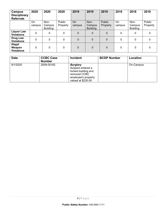| Campus<br><b>Disciplinary</b><br><b>Referrals</b> | 2020         | 2020                              | 2020               | 2019         | 2019                              | 2019               | 2018         | 2018                              | 2018               |
|---------------------------------------------------|--------------|-----------------------------------|--------------------|--------------|-----------------------------------|--------------------|--------------|-----------------------------------|--------------------|
|                                                   | On<br>campus | Non-<br>Campus<br><b>Building</b> | Public<br>Property | On<br>campus | Non-<br>Campus<br><b>Building</b> | Public<br>Property | On<br>campus | Non-<br>Campus<br><b>Building</b> | Public<br>Property |
| <b>Liquor Law</b><br><b>Violations</b>            | 0            | 0                                 | 0                  | $\mathbf 0$  | $\mathbf 0$                       | 0                  | 0            | 0                                 | 0                  |
| Drug Law<br><b>Violations</b>                     | $\mathbf 0$  | 0                                 | 0                  | $\mathbf 0$  | $\mathbf 0$                       | $\Omega$           | 0            | $\mathbf 0$                       | 0                  |
| Illegal<br>Weapon<br><b>Violations</b>            | 0            | 0                                 | 0                  | $\mathbf 0$  | $\mathbf 0$                       | 0                  | 0            | 0                                 | $\Omega$           |

| <b>Date</b> | <b>CCBC Case</b><br><b>Number</b> | <b>Incident</b>                                                                                                          | <b>BCDP Number</b> | Location  |
|-------------|-----------------------------------|--------------------------------------------------------------------------------------------------------------------------|--------------------|-----------|
| 9/1/2020    | 2009-00162                        | <b>Burglary</b><br>Suspect entered a<br>locked building and<br>removed CCBC<br>employee's property<br>valued at \$230.00 |                    | On-Campus |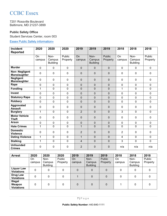### **CCBC** Essex

7201 Rossville Boulevard Baltimore, MD 21237-3899

#### **Public Safety Office**

Student Services Center, room 003

#### [Essex Public Safety information»](https://www.ccbcmd.edu/Campus-Life-and-Activities/Public-Safety/About-Public-Safety/Essex-Public-Safety-Information.aspx)

| <b>Incident</b><br><b>Reported</b>   | 2020         | 2020                              | 2020               | 2019           | 2019                              | 2019               | 2018                | 2018                              | 2018               |
|--------------------------------------|--------------|-----------------------------------|--------------------|----------------|-----------------------------------|--------------------|---------------------|-----------------------------------|--------------------|
|                                      | On<br>campus | Non-<br>Campus<br><b>Building</b> | Public<br>Property | On<br>campus   | Non-<br>Campus<br><b>Building</b> | Public<br>Property | <b>On</b><br>campus | Non-<br>Campus<br><b>Building</b> | Public<br>Property |
| <b>Murder</b>                        | 0            | $\mathbf 0$                       | $\mathbf 0$        | $\Omega$       | $\mathbf 0$                       | $\overline{0}$     | $\mathbf 0$         | $\mathbf 0$                       | $\mathbf 0$        |
| <b>Non-Negligent</b><br>Manslaughter | $\mathbf 0$  | 0                                 | $\mathbf 0$        | 0              | 0                                 | $\mathbf 0$        | $\mathbf 0$         | $\mathbf 0$                       | $\mathbf 0$        |
| <b>Negligent</b><br>Manslaughter     | $\mathbf 0$  | 0                                 | 0                  | $\mathbf 0$    | 0                                 | $\mathbf 0$        | $\mathbf 0$         | $\mathbf 0$                       | $\mathbf 0$        |
| Rape                                 | 0            | $\mathbf 0$                       | $\mathbf 0$        | $\mathbf 0$    | $\overline{0}$                    | $\overline{0}$     | $\mathbf 0$         | $\mathbf 0$                       | $\mathbf 0$        |
| <b>Fondling</b>                      | $\mathbf{1}$ | 0                                 | $\mathbf 0$        | 0              | 0                                 | $\overline{0}$     | $\mathbf{1}$        | $\mathbf 0$                       | $\mathbf 0$        |
| <b>Incest</b>                        | $\mathbf 0$  | 0                                 | $\mathbf 0$        | $\mathbf 0$    | $\overline{0}$                    | $\mathbf 0$        | $\mathbf 0$         | $\mathbf 0$                       | $\mathbf 0$        |
| <b>Statutory Rape</b>                | 0            | 0                                 | $\mathbf 0$        | $\mathbf 0$    | 0                                 | $\mathbf 0$        | $\mathbf 0$         | $\mathbf 0$                       | $\mathbf 0$        |
| <b>Robbery</b>                       | 0            | $\mathbf 0$                       | $\mathbf 0$        | $\overline{0}$ | $\overline{0}$                    | $\mathbf 0$        | $\mathbf 0$         | $\mathbf 0$                       | $\mathbf 0$        |
| Aggravated<br><b>Assault</b>         | 0            | 0                                 | 0                  | 0              | 0                                 | $\mathbf 0$        | $\mathbf{0}$        | $\mathbf 0$                       | $\mathbf 0$        |
| <b>Burglary</b>                      | $\mathbf 1$  | $\overline{0}$                    | $\overline{0}$     | $\overline{2}$ | $\overline{0}$                    | $\overline{0}$     | 3                   | $\mathbf 0$                       | $\mathbf 0$        |
| <b>Motor Vehicle</b><br><b>Theft</b> | 0            | 0                                 | 0                  | $\mathbf 0$    | 0                                 | $\mathbf 0$        | $\mathbf 0$         | $\mathbf 0$                       | $\mathbf 0$        |
| <b>Arson</b>                         | 0            | 0                                 | $\mathbf 0$        | $\mathbf 0$    | 0                                 | $\overline{0}$     | $\mathbf 0$         | $\mathbf 0$                       | $\mathbf 0$        |
| <b>Hate Crimes</b>                   | 1            | $\mathbf 0$                       | $\overline{0}$     | $\mathbf{1}$   | $\overline{0}$                    | $\mathbf 0$        | $\mathbf 0$         | $\mathbf 0$                       | $\overline{0}$     |
| <b>Domestic</b><br><b>Violence</b>   | $\mathbf 0$  | 0                                 | 0                  | $\overline{2}$ | 0                                 | $\mathbf 0$        | $\overline{2}$      | $\mathbf 0$                       | $\mathbf 0$        |
| <b>Dating Violence</b>               | $\mathbf{1}$ | $\overline{0}$                    | $\overline{0}$     | $\mathbf{1}$   | $\overline{0}$                    | $\overline{0}$     | 4                   | $\mathbf{0}$                      | $\Omega$           |
| <b>Stalking</b>                      | $\mathbf{1}$ | 0                                 | $\overline{0}$     | 4              | $\overline{0}$                    | $\mathbf 0$        | 3                   | $\mathbf 0$                       | $\overline{0}$     |
| <b>Unfounded</b><br><b>Crimes</b>    | 0            | 0                                 | 0                  | $\overline{2}$ | $\mathbf 0$                       | 0                  | n/a                 | n/a                               | n/a                |

| <b>Arrest</b>                                 | 2020   | 2020                      | 2020     | 2019   | 2019                      | 2019     | 2018   | 2018                      | 2018     |
|-----------------------------------------------|--------|---------------------------|----------|--------|---------------------------|----------|--------|---------------------------|----------|
|                                               | On     | Non-                      | Public   | On     | Non-                      | Public   | On     | Non-                      | Public   |
|                                               | campus | Campus<br><b>Building</b> | Property | campus | Campus<br><b>Building</b> | Property | campus | Campus<br><b>Building</b> | Property |
| <b>Liquor Law</b><br><b>Violations</b>        | 0      | 0                         | 0        | 0      | 0                         | $\Omega$ | 0      | 0                         |          |
| Drug Law<br><b>Violations</b>                 | 0      | 0                         | 0        |        | 0                         | 0        | 0      | 0                         |          |
| <b>Illegal</b><br>Weapon<br><b>Violations</b> | 0      | 0                         | 0        | 0      | 0                         | 0        |        | 0                         | $\Omega$ |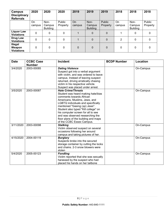| Campus<br><b>Disciplinary</b><br><b>Referrals</b> | 2020         | 2020                              | 2020               | 2019                | 2019                              | 2019               | 2018         | 2018                              | 2018               |
|---------------------------------------------------|--------------|-----------------------------------|--------------------|---------------------|-----------------------------------|--------------------|--------------|-----------------------------------|--------------------|
|                                                   | On<br>campus | Non-<br>Campus<br><b>Building</b> | Public<br>Property | <b>On</b><br>campus | Non-<br>Campus<br><b>Building</b> | Public<br>Property | On<br>campus | Non-<br>Campus<br><b>Building</b> | Public<br>Property |
| <b>Liquor Law</b><br><b>Violations</b>            | 0            | 0                                 | 0                  |                     | $\mathbf 0$                       | $\Omega$           |              | 0                                 | 0                  |
| Drug Law<br><b>Violations</b>                     | 0            | 0                                 | 0                  |                     | $\Omega$                          | $\Omega$           | 2            | 0                                 | 0                  |
| <b>Illegal</b><br>Weapon<br><b>Violations</b>     | 0            | 0                                 | 0                  | 0                   | $\mathbf 0$                       | $\Omega$           | 0            | 0                                 | 0                  |

| <b>Date</b> | <b>CCBC Case</b><br><b>Number</b> | Incident                                                                                                                                                                                                                                                                                                                                                                                          | <b>BCDP Number</b> | Location  |
|-------------|-----------------------------------|---------------------------------------------------------------------------------------------------------------------------------------------------------------------------------------------------------------------------------------------------------------------------------------------------------------------------------------------------------------------------------------------------|--------------------|-----------|
| 3/4/2020    | 2003-00085                        | <b>Dating Violence</b><br>Suspect got into a verbal argument<br>with victim, and was ordered to leave<br>campus. Instead of leaving suspect<br>returned, driving erratically chasing<br>victim in his respective vehicle.<br>Suspect was placed under arrest.                                                                                                                                     |                    | On-Campus |
| 3/5/2020    | 2003-00087                        | <b>Hate Crime/Threats</b><br>Student was heard making hate/bias<br>comments towards African<br>Americans, Muslims, Jews, and<br><b>LGBTQ</b> individuals and specifically<br>mentioned "Gasing (sp) Jews".<br>Student also typed "Kill college" on<br>his computer screen for all to see<br>and was observed researching the<br>floor plans of the building and maps<br>of the CCBC Essex Campus. |                    | On-Campus |
| 3/11/2020   | 2003-00098                        | <b>Stalking</b><br>Victim observed suspect on several<br>occasions following her around<br>campus and taking pictures of her.                                                                                                                                                                                                                                                                     |                    | On-Campus |
| 4/15/2020   | 2004-00119                        | <b>Burglary</b><br>Suspects broke into the secured<br>storage container by cutting the locks<br>and chains, 2-3 snow blowers were<br>stolen                                                                                                                                                                                                                                                       |                    | On-Campus |
| 5/4/2020    | 2005-00123                        | <b>Fondling</b><br>Victim reported that she was sexually<br>harassed by the suspect who had<br>placed his hands on her tailbone                                                                                                                                                                                                                                                                   |                    | On-Campus |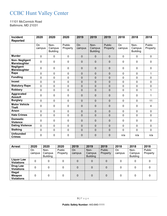## CCBC Hunt Valley Center

11101 McCormick Road Baltimore, MD 21031

| Incident                                | 2020           | 2020                              | 2020               | 2019         | 2019                              | 2019                      | 2018           | 2018                              | 2018               |
|-----------------------------------------|----------------|-----------------------------------|--------------------|--------------|-----------------------------------|---------------------------|----------------|-----------------------------------|--------------------|
| <b>Reported</b>                         |                |                                   |                    |              |                                   |                           |                |                                   |                    |
|                                         | On<br>campus   | Non-<br>Campus<br><b>Building</b> | Public<br>Property | On<br>campus | Non-<br>Campus<br><b>Building</b> | <b>Public</b><br>Property | On<br>campus   | Non-<br>Campus<br><b>Building</b> | Public<br>Property |
| <b>Murder</b>                           | $\mathbf 0$    | $\mathbf 0$                       | 0                  | $\mathbf 0$  | 0                                 | $\mathbf 0$               | $\mathbf 0$    | 0                                 | $\mathbf 0$        |
| <b>Non-Negligent</b><br>Manslaughter    | $\mathbf 0$    | $\mathbf 0$                       | $\mathbf 0$        | $\mathbf 0$  | 0                                 | 0                         | $\mathbf 0$    | $\mathbf 0$                       | $\mathbf 0$        |
| <b>Negligent</b><br><b>Manslaughter</b> | 0              | $\pmb{0}$                         | 0                  | $\mathbf 0$  | $\mathbf 0$                       | $\mathbf 0$               | $\mathbf 0$    | 0                                 | $\mathbf 0$        |
| Rape                                    | $\mathbf 0$    | $\mathbf 0$                       | $\mathbf 0$        | $\mathbf 0$  | $\overline{0}$                    | $\mathbf 0$               | $\mathbf 0$    | 0                                 | $\mathbf{1}$       |
| <b>Fondling</b>                         | 0              | $\mathbf 0$                       | $\mathbf 0$        | $\mathbf 0$  | $\overline{0}$                    | $\mathbf 0$               | $\mathbf 0$    | 0                                 | $\mathbf 0$        |
| <b>Incest</b>                           | $\mathbf 0$    | $\pmb{0}$                         | $\overline{0}$     | $\mathbf 0$  | $\overline{0}$                    | $\mathbf 0$               | $\mathbf 0$    | 0                                 | $\mathbf 0$        |
| <b>Statutory Rape</b>                   | $\mathbf 0$    | $\mathbf 0$                       | 0                  | $\mathbf 0$  | $\overline{0}$                    | $\mathbf 0$               | $\mathbf 0$    | 0                                 | $\mathbf 0$        |
| <b>Robbery</b>                          | $\mathbf 0$    | $\mathbf 0$                       | $\mathbf 0$        | $\mathbf 0$  | $\overline{0}$                    | $\mathbf 0$               | $\overline{0}$ | $\mathbf 0$                       | $\mathbf{1}$       |
| Aggravated<br><b>Assault</b>            | 0              | $\mathbf 0$                       | $\mathbf 0$        | $\mathbf 0$  | $\mathbf 0$                       | $\overline{0}$            | 0              | $\overline{0}$                    | 1                  |
| <b>Burglary</b>                         | $\overline{0}$ | $\pmb{0}$                         | 0                  | $\pmb{0}$    | 0                                 | $\mathbf 0$               | $\mathbf 0$    | 0                                 | 11                 |
| <b>Motor Vehicle</b><br><b>Theft</b>    | $\Omega$       | $\mathbf 0$                       | 0                  | $\mathbf 0$  | 0                                 | 0                         | $\mathbf 0$    | 0                                 | $\overline{4}$     |
| <b>Arson</b>                            | 0              | $\mathbf 0$                       | 0                  | $\mathbf 0$  | 0                                 | $\mathbf 0$               | 0              | 0                                 | $\mathbf 0$        |
| <b>Hate Crimes</b>                      | $\overline{0}$ | $\mathbf 0$                       | 0                  | $\mathbf 0$  | 0                                 | $\mathbf 0$               | $\mathbf 0$    | $\overline{0}$                    | $\overline{0}$     |
| <b>Domestic</b><br><b>Violence</b>      | $\mathbf 0$    | $\mathbf 0$                       | $\mathbf 0$        | $\mathbf 0$  | $\mathbf 0$                       | $\mathbf 0$               | $\mathbf 0$    | $\overline{0}$                    | $\mathbf 0$        |
| <b>Dating Violence</b>                  | $\mathbf 0$    | $\pmb{0}$                         | $\mathbf 0$        | $\pmb{0}$    | $\overline{0}$                    | $\mathbf 0$               | $\mathbf 0$    | 0                                 | $\mathbf 0$        |
| <b>Stalking</b>                         | $\mathbf 0$    | $\pmb{0}$                         | $\mathbf 0$        | $\mathbf 0$  | $\overline{0}$                    | $\mathbf 0$               | 0              | $\mathbf 0$                       | $\mathbf 0$        |
| <b>Unfounded</b><br><b>Crimes</b>       | 0              | $\mathbf 0$                       | 0                  | $\mathbf 0$  | $\mathbf 0$                       | 0                         | n/a            | n/a                               | n/a                |

| <b>Arrest</b>                                 | 2020         | 2020                              | 2020               | 2019                | 2019                              | 2019               | 2018         | 2018                              | 2018               |
|-----------------------------------------------|--------------|-----------------------------------|--------------------|---------------------|-----------------------------------|--------------------|--------------|-----------------------------------|--------------------|
|                                               | On<br>campus | Non-<br>Campus<br><b>Building</b> | Public<br>Property | <b>On</b><br>campus | Non-<br>Campus<br><b>Building</b> | Public<br>Property | On<br>campus | Non-<br>Campus<br><b>Building</b> | Public<br>Property |
| <b>Liquor Law</b><br><b>Violations</b>        |              | 0                                 | 0                  | 0                   | 0                                 | 0                  | 0            | 0                                 |                    |
| Drug Law<br><b>Violations</b>                 |              | 0                                 | 0                  | 0                   | 0                                 | 0                  | 0            | 0                                 |                    |
| <b>Illegal</b><br>Weapon<br><b>Violations</b> | 0            | 0                                 | 0                  | 0                   | 0                                 | 0                  | 0            | 0                                 |                    |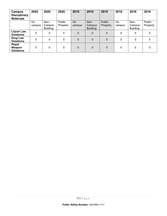| Campus<br><b>Disciplinary</b><br><b>Referrals</b> | 2020         | 2020                              | 2020               | 2019                | 2019                              | 2019               | 2018         | 2018                              | 2018               |
|---------------------------------------------------|--------------|-----------------------------------|--------------------|---------------------|-----------------------------------|--------------------|--------------|-----------------------------------|--------------------|
|                                                   | On<br>campus | Non-<br>Campus<br><b>Building</b> | Public<br>Property | <b>On</b><br>campus | Non-<br>Campus<br><b>Building</b> | Public<br>Property | On<br>campus | Non-<br>Campus<br><b>Building</b> | Public<br>Property |
| <b>Liquor Law</b><br><b>Violations</b>            | 0            | 0                                 | 0                  | $\mathbf 0$         | $\mathbf 0$                       | 0                  | 0            | 0                                 | 0                  |
| Drug Law<br><b>Violations</b>                     | 0            | 0                                 | 0                  | $\overline{0}$      | $\mathbf 0$                       | $\Omega$           | 0            | 0                                 | $\Omega$           |
| Illegal<br>Weapon<br><b>Violations</b>            | $\mathbf 0$  | 0                                 | 0                  | $\Omega$            | 0                                 | $\Omega$           | 0            | 0                                 | $\Omega$           |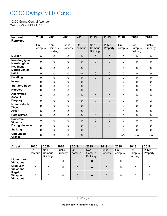## CCBC Owings Mills Center

10300 Grand Central Avenue Owings Mills, MD 21117

| <b>Incident</b>                             | 2020           | 2020                              | 2020                      | 2019           | 2019                              | 2019                      | 2018           | 2018                              | 2018                      |
|---------------------------------------------|----------------|-----------------------------------|---------------------------|----------------|-----------------------------------|---------------------------|----------------|-----------------------------------|---------------------------|
| <b>Reported</b>                             |                |                                   |                           |                |                                   |                           |                |                                   |                           |
|                                             | On<br>campus   | Non-<br>Campus<br><b>Building</b> | <b>Public</b><br>Property | On<br>campus   | Non-<br>Campus<br><b>Building</b> | <b>Public</b><br>Property | On<br>campus   | Non-<br>Campus<br><b>Building</b> | <b>Public</b><br>Property |
| <b>Murder</b>                               | $\mathbf 0$    | $\mathbf 0$                       | $\mathbf 0$               | $\mathbf 0$    | 0                                 | $\mathbf 0$               | $\mathbf 0$    | 0                                 | $\mathbf 0$               |
| <b>Non-Negligent</b><br><b>Manslaughter</b> | $\overline{0}$ | 0                                 | 0                         | 0              | 0                                 | 0                         | $\mathbf 0$    | $\mathbf 0$                       | $\mathbf 0$               |
| <b>Negligent</b><br><b>Manslaughter</b>     | $\overline{0}$ | 0                                 | 0                         | $\mathbf 0$    | 0                                 | $\mathbf 0$               | $\mathbf 0$    | $\mathbf 0$                       | $\mathbf 0$               |
| Rape                                        | $\mathbf 0$    | 0                                 | $\mathbf 0$               | $\mathbf 0$    | $\overline{0}$                    | $\mathbf 0$               | $\mathbf 0$    | $\mathbf 0$                       | $\mathbf{0}$              |
| <b>Fondling</b>                             | $\overline{0}$ | 0                                 | 0                         | $\overline{0}$ | $\overline{0}$                    | $\overline{0}$            | $\overline{0}$ | $\mathbf 0$                       | $\mathbf 0$               |
| <b>Incest</b>                               | $\mathbf 0$    | $\mathbf 0$                       | $\overline{0}$            | $\mathbf 0$    | $\overline{0}$                    | $\mathbf 0$               | $\mathbf 0$    | $\mathbf 0$                       | $\mathbf{0}$              |
| <b>Statutory Rape</b>                       | $\mathbf 0$    | 0                                 | $\mathbf 0$               | $\mathbf 0$    | 0                                 | $\mathbf 0$               | $\mathbf 0$    | $\mathbf 0$                       | 1                         |
| <b>Robbery</b>                              | $\mathbf 0$    | $\mathbf 0$                       | $\mathbf 0$               | $\mathbf 0$    | $\overline{0}$                    | $\mathbf 0$               | $\mathbf 0$    | $\mathbf 0$                       | $\mathbf 0$               |
| Aggravated<br><b>Assault</b>                | $\overline{0}$ | 0                                 | 0                         | $\pmb{0}$      | 0                                 | 0                         | $\mathbf 0$    | 0                                 | $\mathbf 0$               |
| <b>Burglary</b>                             | $\mathbf 0$    | 0                                 | $\mathbf 0$               | $\mathbf 0$    | 0                                 | $\mathbf 0$               | $\mathbf 0$    | $\overline{0}$                    | $\overline{2}$            |
| <b>Motor Vehicle</b><br><b>Theft</b>        | $\mathbf 0$    | 0                                 | 0                         | $\mathbf 0$    | 0                                 | $\mathbf 0$               | $\mathbf 0$    | 0                                 | $\mathbf 0$               |
| <b>Arson</b>                                | $\Omega$       | 0                                 | 0                         | $\mathbf 0$    | 0                                 | $\mathbf 0$               | $\Omega$       | $\mathbf 0$                       | $\Omega$                  |
| <b>Hate Crimes</b>                          | $\overline{0}$ | 0                                 | 0                         | $\mathbf 0$    | 0                                 | $\mathbf 0$               | $\mathbf 0$    | $\mathbf 0$                       | $\overline{0}$            |
| <b>Domestic</b><br><b>Violence</b>          | $\overline{0}$ | 0                                 | 0                         | $\mathbf 0$    | 0                                 | $\mathbf 0$               | $\mathbf 0$    | $\mathbf 0$                       | $\mathbf 0$               |
| <b>Dating Violence</b>                      | $\mathbf 0$    | 0                                 | $\mathbf 0$               | $\mathbf 0$    | $\overline{0}$                    | $\mathbf 0$               | $\overline{2}$ | $\mathbf 0$                       | $\mathbf 0$               |
| <b>Stalking</b>                             | $\overline{0}$ | 0                                 | 0                         | $\mathbf 0$    | 0                                 | $\mathbf 0$               | $\overline{0}$ | $\mathbf 0$                       | $\mathbf 0$               |
| <b>Unfounded</b><br><b>Crimes</b>           | $\mathbf 0$    | 0                                 | 0                         | $\mathbf 0$    | $\mathbf 0$                       | 0                         | n/a            | n/a                               | n/a                       |

| <b>Arrest</b>                                 | 2020         | 2020                              | 2020               | 2019         | 2019                              | 2019               | 2018         | 2018                              | 2018               |
|-----------------------------------------------|--------------|-----------------------------------|--------------------|--------------|-----------------------------------|--------------------|--------------|-----------------------------------|--------------------|
|                                               | On<br>campus | Non-<br>Campus<br><b>Building</b> | Public<br>Property | On<br>campus | Non-<br>Campus<br><b>Building</b> | Public<br>Property | On<br>campus | Non-<br>Campus<br><b>Building</b> | Public<br>Property |
| <b>Liquor Law</b><br><b>Violations</b>        | 0            | 0                                 | 0                  | 0            | 0                                 | $\Omega$           | 0            | 0                                 | 0                  |
| Drug Law<br><b>Violations</b>                 | 0            | 0                                 | 0                  | 0            | 0                                 | $\Omega$           | 0            | 0                                 | 0                  |
| <b>Illegal</b><br>Weapon<br><b>Violations</b> | $\Omega$     | 0                                 | 0                  | 0            | 0                                 | $\Omega$           | 0            | 0                                 | 0                  |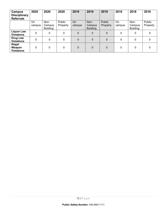| Campus<br><b>Disciplinary</b><br><b>Referrals</b> | 2020         | 2020                              | 2020               | 2019                | 2019                              | 2019               | 2018         | 2018                              | 2018               |
|---------------------------------------------------|--------------|-----------------------------------|--------------------|---------------------|-----------------------------------|--------------------|--------------|-----------------------------------|--------------------|
|                                                   | On<br>campus | Non-<br>Campus<br><b>Building</b> | Public<br>Property | <b>On</b><br>campus | Non-<br>Campus<br><b>Building</b> | Public<br>Property | On<br>campus | Non-<br>Campus<br><b>Building</b> | Public<br>Property |
| <b>Liquor Law</b><br><b>Violations</b>            | 0            | 0                                 | 0                  | $\mathbf 0$         | $\mathbf 0$                       | 0                  | 0            | 0                                 | 0                  |
| Drug Law<br><b>Violations</b>                     | 0            | 0                                 | 0                  | $\overline{0}$      | $\mathbf 0$                       | $\Omega$           | 0            | 0                                 | $\Omega$           |
| Illegal<br>Weapon<br><b>Violations</b>            | $\mathbf 0$  | 0                                 | 0                  | $\Omega$            | 0                                 | $\Omega$           | 0            | 0                                 | $\Omega$           |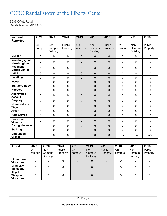## CCBC Randallstown at the Liberty Center

3637 Offutt Road Randallstown, MD 21133

| <b>Incident</b>                         | 2020                | 2020                              | 2020               | 2019           | 2019                              | 2019               | 2018                | 2018                              | 2018                      |
|-----------------------------------------|---------------------|-----------------------------------|--------------------|----------------|-----------------------------------|--------------------|---------------------|-----------------------------------|---------------------------|
| <b>Reported</b>                         |                     |                                   |                    |                |                                   |                    |                     |                                   |                           |
|                                         | <b>On</b><br>campus | Non-<br>Campus<br><b>Building</b> | Public<br>Property | On<br>campus   | Non-<br>Campus<br><b>Building</b> | Public<br>Property | <b>On</b><br>campus | Non-<br>Campus<br><b>Building</b> | <b>Public</b><br>Property |
| <b>Murder</b>                           | 0                   | $\mathbf 0$                       | $\mathbf 0$        | 0              | $\mathbf 0$                       | $\mathbf{0}$       | $\mathbf 0$         | $\mathbf 0$                       | $\mathbf 0$               |
| <b>Non-Negligent</b><br>Manslaughter    | 0                   | 0                                 | 0                  | 0              | $\mathbf 0$                       | $\mathbf 0$        | $\mathbf 0$         | $\mathbf 0$                       | $\mathbf 0$               |
| <b>Negligent</b><br><b>Manslaughter</b> | 0                   | 0                                 | $\mathbf 0$        | $\overline{0}$ | $\mathbf 0$                       | $\overline{0}$     | $\mathbf 0$         | $\mathbf 0$                       | $\mathbf 0$               |
| Rape                                    | 0                   | $\mathbf 0$                       | $\mathbf 0$        | 0              | $\overline{0}$                    | $\mathbf 0$        | $\mathbf 0$         | $\mathbf 0$                       | $\mathbf 0$               |
| <b>Fondling</b>                         | $\Omega$            | 0                                 | $\overline{0}$     | 0              | $\overline{0}$                    | 0                  | $\mathbf{0}$        | $\mathbf 0$                       | $\mathbf 0$               |
| <b>Incest</b>                           | $\overline{0}$      | 0                                 | $\overline{0}$     | $\overline{0}$ | $\overline{0}$                    | $\mathbf 0$        | $\mathbf 0$         | $\mathbf 0$                       | $\mathbf 0$               |
| <b>Statutory Rape</b>                   | $\Omega$            | 0                                 | $\mathbf 0$        | 0              | $\overline{0}$                    | 0                  | $\mathbf 0$         | $\mathbf 0$                       | $\mathbf 0$               |
| <b>Robbery</b>                          | 0                   | 0                                 | $\mathbf 0$        | $\overline{0}$ | $\mathbf 0$                       | $\mathbf 0$        | $\mathbf 0$         | $\mathbf 0$                       | $\mathbf 0$               |
| Aggravated<br><b>Assault</b>            | 0                   | 0                                 | 0                  | 0              | $\mathbf 0$                       | $\mathbf 0$        | 0                   | $\mathbf 0$                       | 0                         |
| <b>Burglary</b>                         | 0                   | 0                                 | $\overline{0}$     | 0              | $\overline{0}$                    | 0                  | $\mathbf 0$         | $\mathbf 0$                       | $\mathbf 0$               |
| <b>Motor Vehicle</b><br><b>Theft</b>    | 0                   | 0                                 | $\mathbf 0$        | 0              | $\mathbf 0$                       | $\mathbf 0$        | $\mathbf 0$         | $\mathbf 0$                       | $\mathbf 0$               |
| <b>Arson</b>                            | 0                   | 0                                 | $\overline{0}$     | 0              | $\overline{0}$                    | $\overline{0}$     | $\Omega$            | $\mathbf 0$                       | $\overline{0}$            |
| <b>Hate Crimes</b>                      | 0                   | 0                                 | $\overline{0}$     | 0              | $\mathbf 0$                       | $\mathbf 0$        | $\mathbf 0$         | $\mathbf 0$                       | $\mathbf 0$               |
| <b>Domestic</b><br><b>Violence</b>      | 0                   | 0                                 | 0                  | 0              | $\mathbf 0$                       | 0                  | $\mathbf 0$         | $\mathbf 0$                       | $\mathbf 0$               |
| <b>Dating Violence</b>                  | $\mathbf{1}$        | 0                                 | $\mathbf 0$        | 0              | $\mathbf 0$                       | 0                  | $\mathbf 0$         | $\mathbf 0$                       | $\mathbf 0$               |
| <b>Stalking</b>                         | 0                   | 0                                 | $\mathbf 0$        | 0              | $\overline{0}$                    | $\mathbf 0$        | 0                   | $\mathbf 0$                       | $\mathbf 0$               |
| <b>Unfounded</b><br><b>Crimes</b>       | 0                   | 0                                 | 0                  | 0              | $\mathbf 0$                       | 0                  | n/a                 | n/a                               | n/a                       |

| <b>Arrest</b>                          | 2020         | 2020                              | 2020               | 2019         | 2019                              | 2019               | 2018         | 2018                              | 2018               |
|----------------------------------------|--------------|-----------------------------------|--------------------|--------------|-----------------------------------|--------------------|--------------|-----------------------------------|--------------------|
|                                        | On<br>campus | Non-<br>Campus<br><b>Building</b> | Public<br>Property | On<br>campus | Non-<br>Campus<br><b>Building</b> | Public<br>Property | On<br>campus | Non-<br>Campus<br><b>Building</b> | Public<br>Property |
| <b>Liquor Law</b><br><b>Violations</b> | 0            | 0                                 | 0                  | 0            | 0                                 | 0                  | 0            | 0                                 |                    |
| Drug Law<br><b>Violations</b>          | 0            | 0                                 | 0                  | 0            | 0                                 | 0                  | 0            | 0                                 |                    |
| Illegal<br>Weapon<br><b>Violations</b> | 0            | 0                                 | 0                  | 0            | 0                                 | $\Omega$           | 0            | 0                                 |                    |